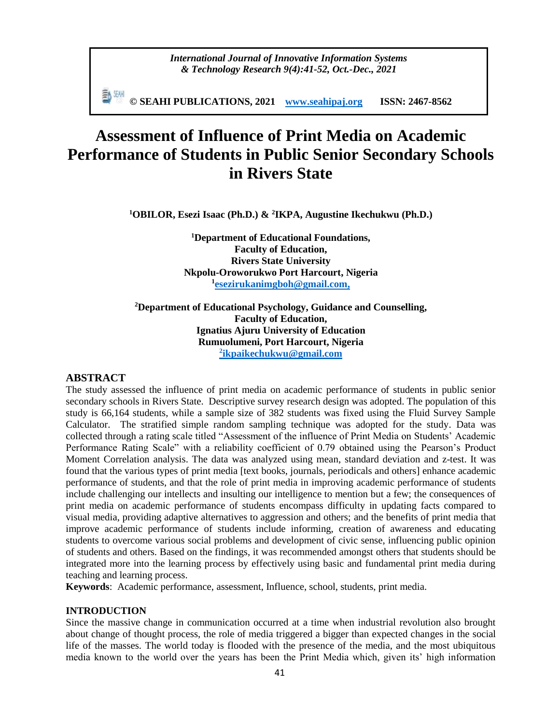**© SEAHI PUBLICATIONS, 2021 [www.seahipaj.org](http://www.seahipaj.org/) ISSN: 2467-8562**

# **Assessment of Influence of Print Media on Academic Performance of Students in Public Senior Secondary Schools in Rivers State**

**<sup>1</sup>OBILOR, Esezi Isaac (Ph.D.) & <sup>2</sup> IKPA, Augustine Ikechukwu (Ph.D.)**

**<sup>1</sup>Department of Educational Foundations, Faculty of Education, Rivers State University Nkpolu-Oroworukwo Port Harcourt, Nigeria 1 [esezirukanimgboh@gmail.com,](mailto:esezirukanimgboh@gmail.com)** 

**<sup>2</sup>Department of Educational Psychology, Guidance and Counselling, Faculty of Education, Ignatius Ajuru University of Education Rumuolumeni, Port Harcourt, Nigeria 2 ikpaikechukwu@gmail.com**

# **ABSTRACT**

The study assessed the influence of print media on academic performance of students in public senior secondary schools in Rivers State. Descriptive survey research design was adopted. The population of this study is 66,164 students, while a sample size of 382 students was fixed using the Fluid Survey Sample Calculator. The stratified simple random sampling technique was adopted for the study. Data was collected through a rating scale titled "Assessment of the influence of Print Media on Students' Academic Performance Rating Scale" with a reliability coefficient of 0.79 obtained using the Pearson's Product Moment Correlation analysis. The data was analyzed using mean, standard deviation and z-test. It was found that the various types of print media [text books, journals, periodicals and others] enhance academic performance of students, and that the role of print media in improving academic performance of students include challenging our intellects and insulting our intelligence to mention but a few; the consequences of print media on academic performance of students encompass difficulty in updating facts compared to visual media, providing adaptive alternatives to aggression and others; and the benefits of print media that improve academic performance of students include informing, creation of awareness and educating students to overcome various social problems and development of civic sense, influencing public opinion of students and others. Based on the findings, it was recommended amongst others that students should be integrated more into the learning process by effectively using basic and fundamental print media during teaching and learning process.

**Keywords**: Academic performance, assessment, Influence, school, students, print media.

#### **INTRODUCTION**

Since the massive change in communication occurred at a time when industrial revolution also brought about change of thought process, the role of media triggered a bigger than expected changes in the social life of the masses. The world today is flooded with the presence of the media, and the most ubiquitous media known to the world over the years has been the Print Media which, given its' high information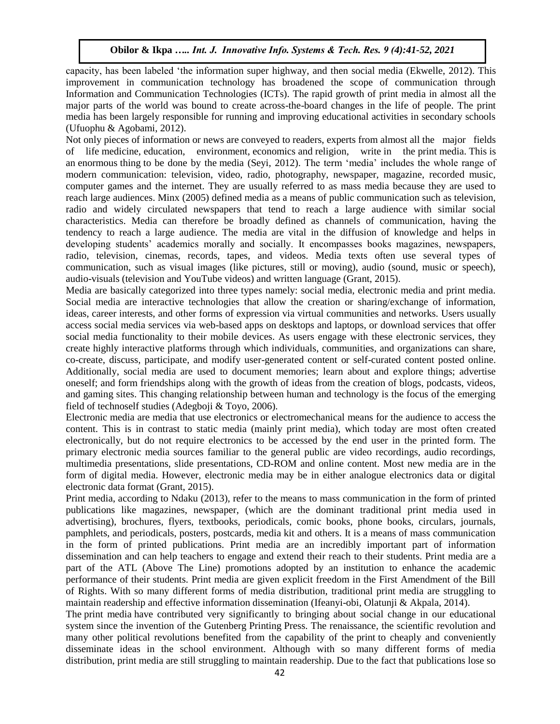capacity, has been labeled 'the information super highway, and then social media (Ekwelle, 2012). This improvement in communication technology has broadened the scope of communication through Information and Communication Technologies (ICTs). The rapid growth of print media in almost all the major parts of the world was bound to create across-the-board changes in the life of people. The print media has been largely responsible for running and improving educational activities in secondary schools (Ufuophu & Agobami, 2012).

Not only pieces of information or news are conveyed to readers, experts from almost all the major fields of life medicine, education, environment, economics and religion, write in the print media. This is an enormous thing to be done by the media (Seyi, 2012). The term 'media' includes the whole range of modern communication: television, video, radio, photography, newspaper, magazine, recorded music, computer games and the internet. They are usually referred to as mass media because they are used to reach large audiences. Minx (2005) defined media as a means of public communication such as television, radio and widely circulated newspapers that tend to reach a large audience with similar social characteristics. Media can therefore be broadly defined as channels of communication, having the tendency to reach a large audience. The media are vital in the diffusion of knowledge and helps in developing students' academics morally and socially. It encompasses books magazines, newspapers, radio, television, cinemas, records, tapes, and videos. Media texts often use several types of communication, such as visual images (like pictures, still or moving), audio (sound, music or speech), audio-visuals (television and YouTube videos) and written language (Grant, 2015).

Media are basically categorized into three types namely: social media, electronic media and print media. Social media are interactive technologies that allow the creation or sharing/exchange of information, ideas, career interests, and other forms of expression via virtual communities and networks. Users usually access social media services via web-based apps on desktops and laptops, or download services that offer social media functionality to their mobile devices. As users engage with these electronic services, they create highly interactive platforms through which individuals, communities, and organizations can share, co-create, discuss, participate, and modify user-generated content or self-curated content posted online. Additionally, social media are used to document memories; learn about and explore things; advertise oneself; and form friendships along with the growth of ideas from the creation of blogs, podcasts, videos, and gaming sites. This changing relationship between human and technology is the focus of the emerging field of technoself studies (Adegboji & Toyo, 2006).

Electronic media are media that use electronics or electromechanical means for the audience to access the content. This is in contrast to static media (mainly print media), which today are most often created electronically, but do not require electronics to be accessed by the end user in the printed form. The primary electronic media sources familiar to the general public are video recordings, audio recordings, multimedia presentations, slide presentations, CD-ROM and online content. Most new media are in the form of digital media. However, electronic media may be in either analogue electronics data or digital electronic data format (Grant, 2015).

Print media, according to Ndaku (2013), refer to the means to mass communication in the form of printed publications like magazines, newspaper, (which are the dominant traditional print media used in advertising), brochures, flyers, textbooks, periodicals, comic books, phone books, circulars, journals, pamphlets, and periodicals, posters, postcards, media kit and others. It is a means of mass communication in the form of printed publications. Print media are an incredibly important part of information dissemination and can help teachers to engage and extend their reach to their students. Print media are a part of the ATL (Above The Line) promotions adopted by an institution to enhance the academic performance of their students. Print media are given explicit freedom in the First Amendment of the Bill of Rights. With so many different forms of media distribution, traditional print media are struggling to maintain readership and effective information dissemination (Ifeanyi-obi, Olatunji & Akpala, 2014).

The print media have contributed very significantly to bringing about social change in our educational system since the invention of the Gutenberg Printing Press. The renaissance, the scientific revolution and many other political revolutions benefited from the capability of the print to cheaply and conveniently disseminate ideas in the school environment. Although with so many different forms of media distribution, print media are still struggling to maintain readership. Due to the fact that publications lose so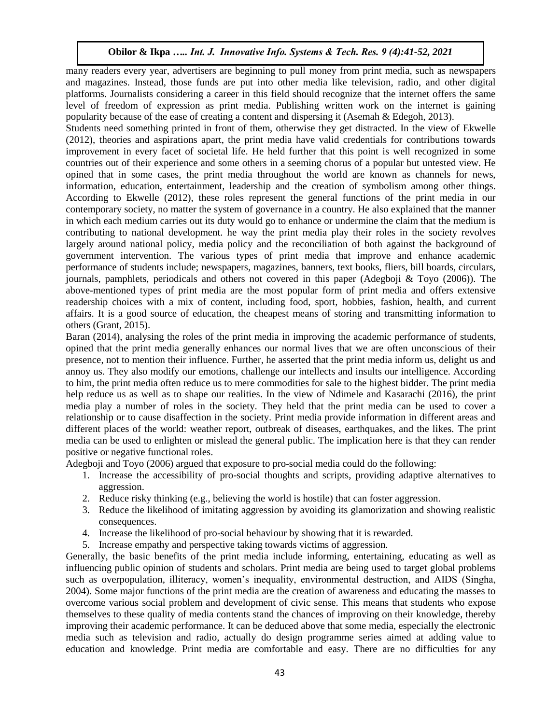many readers every year, advertisers are beginning to pull money from print media, such as newspapers and magazines. Instead, those funds are put into other media like television, radio, and other digital platforms. Journalists considering a career in this field should recognize that the internet offers the same level of freedom of expression as print media. Publishing written work on the internet is gaining popularity because of the ease of creating a content and dispersing it (Asemah & Edegoh, 2013).

Students need something printed in front of them, otherwise they get distracted. In the view of Ekwelle (2012), theories and aspirations apart, the print media have valid credentials for contributions towards improvement in every facet of societal life. He held further that this point is well recognized in some countries out of their experience and some others in a seeming chorus of a popular but untested view. He opined that in some cases, the print media throughout the world are known as channels for news, information, education, entertainment, leadership and the creation of symbolism among other things. According to Ekwelle (2012), these roles represent the general functions of the print media in our contemporary society, no matter the system of governance in a country. He also explained that the manner in which each medium carries out its duty would go to enhance or undermine the claim that the medium is contributing to national development. he way the print media play their roles in the society revolves largely around national policy, media policy and the reconciliation of both against the background of government intervention. The various types of print media that improve and enhance academic performance of students include; newspapers, magazines, banners, text books, fliers, bill boards, circulars, journals, pamphlets, periodicals and others not covered in this paper (Adegboji & Toyo (2006)). The above-mentioned types of print media are the most popular form of print media and offers extensive readership choices with a mix of content, including food, sport, hobbies, fashion, health, and current affairs. It is a good source of education, the cheapest means of storing and transmitting information to others (Grant, 2015).

Baran (2014), analysing the roles of the print media in improving the academic performance of students, opined that the print media generally enhances our normal lives that we are often unconscious of their presence, not to mention their influence. Further, he asserted that the print media inform us, delight us and annoy us. They also modify our emotions, challenge our intellects and insults our intelligence. According to him, the print media often reduce us to mere commodities for sale to the highest bidder. The print media help reduce us as well as to shape our realities. In the view of Ndimele and Kasarachi (2016), the print media play a number of roles in the society. They held that the print media can be used to cover a relationship or to cause disaffection in the society. Print media provide information in different areas and different places of the world: weather report, outbreak of diseases, earthquakes, and the likes. The print media can be used to enlighten or mislead the general public. The implication here is that they can render positive or negative functional roles.

Adegboji and Toyo (2006) argued that exposure to pro-social media could do the following:

- 1. Increase the accessibility of pro-social thoughts and scripts, providing adaptive alternatives to aggression.
- 2. Reduce risky thinking  $(e.g.,$  believing the world is hostile) that can foster aggression.
- 3. Reduce the likelihood of imitating aggression by avoiding its glamorization and showing realistic consequences.
- 4. Increase the likelihood of pro-social behaviour by showing that it is rewarded.
- 5. Increase empathy and perspective taking towards victims of aggression.

Generally, the basic benefits of the print media include informing, entertaining, educating as well as influencing public opinion of students and scholars. Print media are being used to target global problems such as overpopulation, illiteracy, women's inequality, environmental destruction, and AIDS (Singha, 2004). Some major functions of the print media are the creation of awareness and educating the masses to overcome various social problem and development of civic sense. This means that students who expose themselves to these quality of media contents stand the chances of improving on their knowledge, thereby improving their academic performance. It can be deduced above that some media, especially the electronic media such as television and radio, actually do design programme series aimed at adding value to education and knowledge. Print media are comfortable and easy. There are no difficulties for any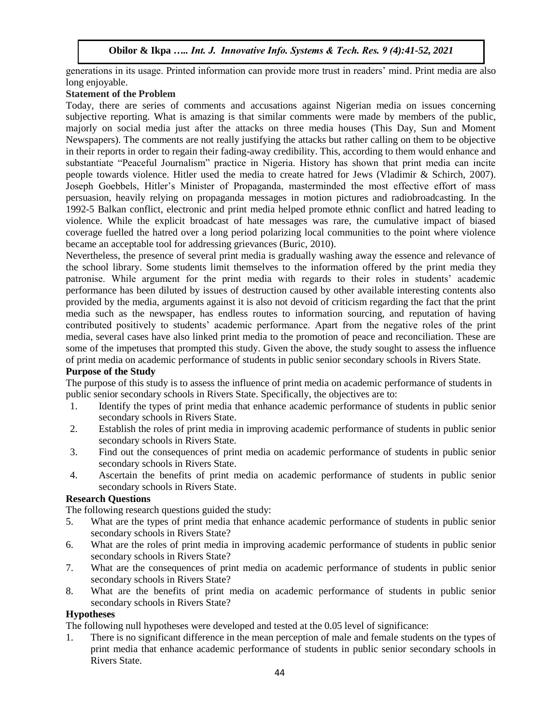generations in its usage. Printed information can provide more trust in readers' mind. Print media are also long enjoyable.

## **Statement of the Problem**

Today, there are series of comments and accusations against Nigerian media on issues concerning subjective reporting. What is amazing is that similar comments were made by members of the public, majorly on social media just after the attacks on three media houses (This Day, Sun and Moment Newspapers). The comments are not really justifying the attacks but rather calling on them to be objective in their reports in order to regain their fading-away credibility. This, according to them would enhance and substantiate "Peaceful Journalism" practice in Nigeria. History has shown that print media can incite people towards violence. Hitler used the media to create hatred for Jews (Vladimir & Schirch, 2007). Joseph Goebbels, Hitler's Minister of Propaganda, masterminded the most effective effort of mass persuasion, heavily relying on propaganda messages in motion pictures and radiobroadcasting. In the 1992-5 Balkan conflict, electronic and print media helped promote ethnic conflict and hatred leading to violence. While the explicit broadcast of hate messages was rare, the cumulative impact of biased coverage fuelled the hatred over a long period polarizing local communities to the point where violence became an acceptable tool for addressing grievances (Buric, 2010).

Nevertheless, the presence of several print media is gradually washing away the essence and relevance of the school library. Some students limit themselves to the information offered by the print media they patronise. While argument for the print media with regards to their roles in students' academic performance has been diluted by issues of destruction caused by other available interesting contents also provided by the media, arguments against it is also not devoid of criticism regarding the fact that the print media such as the newspaper, has endless routes to information sourcing, and reputation of having contributed positively to students' academic performance. Apart from the negative roles of the print media, several cases have also linked print media to the promotion of peace and reconciliation. These are some of the impetuses that prompted this study. Given the above, the study sought to assess the influence of print media on academic performance of students in public senior secondary schools in Rivers State.

# **Purpose of the Study**

The purpose of this study is to assess the influence of print media on academic performance of students in public senior secondary schools in Rivers State. Specifically, the objectives are to:

- 1. Identify the types of print media that enhance academic performance of students in public senior secondary schools in Rivers State.
- 2. Establish the roles of print media in improving academic performance of students in public senior secondary schools in Rivers State.
- 3. Find out the consequences of print media on academic performance of students in public senior secondary schools in Rivers State.
- 4. Ascertain the benefits of print media on academic performance of students in public senior secondary schools in Rivers State.

## **Research Questions**

The following research questions guided the study:

- 5. What are the types of print media that enhance academic performance of students in public senior secondary schools in Rivers State?
- 6. What are the roles of print media in improving academic performance of students in public senior secondary schools in Rivers State?
- 7. What are the consequences of print media on academic performance of students in public senior secondary schools in Rivers State?
- 8. What are the benefits of print media on academic performance of students in public senior secondary schools in Rivers State?

#### **Hypotheses**

The following null hypotheses were developed and tested at the 0.05 level of significance:

1. There is no significant difference in the mean perception of male and female students on the types of print media that enhance academic performance of students in public senior secondary schools in Rivers State.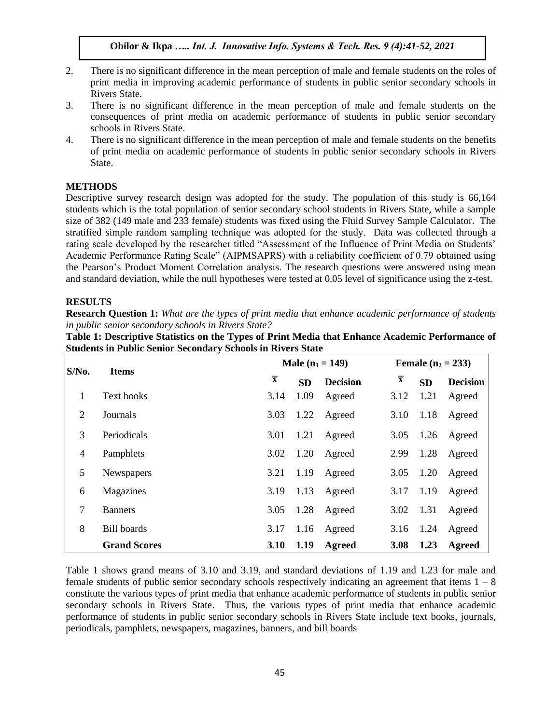- 2. There is no significant difference in the mean perception of male and female students on the roles of print media in improving academic performance of students in public senior secondary schools in Rivers State.
- 3. There is no significant difference in the mean perception of male and female students on the consequences of print media on academic performance of students in public senior secondary schools in Rivers State.
- 4. There is no significant difference in the mean perception of male and female students on the benefits of print media on academic performance of students in public senior secondary schools in Rivers State.

## **METHODS**

Descriptive survey research design was adopted for the study. The population of this study is 66,164 students which is the total population of senior secondary school students in Rivers State, while a sample size of 382 (149 male and 233 female) students was fixed using the Fluid Survey Sample Calculator. The stratified simple random sampling technique was adopted for the study. Data was collected through a rating scale developed by the researcher titled "Assessment of the Influence of Print Media on Students' Academic Performance Rating Scale" (AIPMSAPRS) with a reliability coefficient of 0.79 obtained using the Pearson's Product Moment Correlation analysis. The research questions were answered using mean and standard deviation, while the null hypotheses were tested at 0.05 level of significance using the z-test.

## **RESULTS**

**Research Question 1:** *What are the types of print media that enhance academic performance of students in public senior secondary schools in Rivers State?*

| Table 1: Descriptive Statistics on the Types of Print Media that Enhance Academic Performance of |  |
|--------------------------------------------------------------------------------------------------|--|
| <b>Students in Public Senior Secondary Schools in Rivers State</b>                               |  |

| $S/N0$ .       | <b>Items</b>        |                         |           | Male $(n_1 = 149)$ | <b>Female</b> $(n_2 = 233)$ |           |                 |  |
|----------------|---------------------|-------------------------|-----------|--------------------|-----------------------------|-----------|-----------------|--|
|                |                     | $\overline{\mathbf{x}}$ | <b>SD</b> | <b>Decision</b>    | $\overline{\mathbf{x}}$     | <b>SD</b> | <b>Decision</b> |  |
| 1              | Text books          | 3.14                    | 1.09      | Agreed             | 3.12                        | 1.21      | Agreed          |  |
| 2              | Journals            | 3.03                    | 1.22      | Agreed             | 3.10                        | 1.18      | Agreed          |  |
| 3              | Periodicals         | 3.01                    | 1.21      | Agreed             | 3.05                        | 1.26      | Agreed          |  |
| 4              | Pamphlets           | 3.02                    | 1.20      | Agreed             | 2.99                        | 1.28      | Agreed          |  |
| 5              | <b>Newspapers</b>   | 3.21                    | 1.19      | Agreed             | 3.05                        | 1.20      | Agreed          |  |
| 6              | Magazines           | 3.19                    | 1.13      | Agreed             | 3.17                        | 1.19      | Agreed          |  |
| $\overline{7}$ | <b>Banners</b>      | 3.05                    | 1.28      | Agreed             | 3.02                        | 1.31      | Agreed          |  |
| 8              | <b>Bill</b> boards  | 3.17                    | 1.16      | Agreed             | 3.16                        | 1.24      | Agreed          |  |
|                | <b>Grand Scores</b> | <b>3.10</b>             | 1.19      | Agreed             | 3.08                        | 1.23      | <b>Agreed</b>   |  |

Table 1 shows grand means of 3.10 and 3.19, and standard deviations of 1.19 and 1.23 for male and female students of public senior secondary schools respectively indicating an agreement that items  $1 - 8$ constitute the various types of print media that enhance academic performance of students in public senior secondary schools in Rivers State. Thus, the various types of print media that enhance academic performance of students in public senior secondary schools in Rivers State include text books, journals, periodicals, pamphlets, newspapers, magazines, banners, and bill boards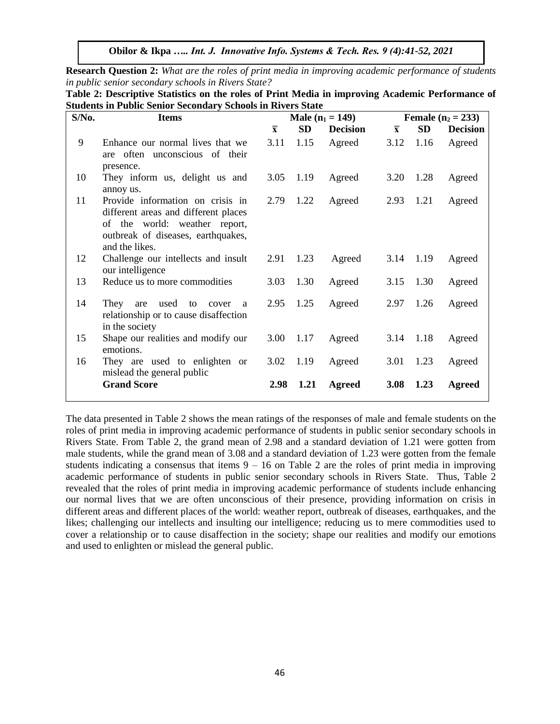**Research Question 2:** *What are the roles of print media in improving academic performance of students in public senior secondary schools in Rivers State?*

| $S/N0$ . | <b>Items</b>                                                                                                                                                      |                         |           | Male $(n_1 = 149)$ |                         |           | <b>Female</b> $(n_2 = 233)$ |
|----------|-------------------------------------------------------------------------------------------------------------------------------------------------------------------|-------------------------|-----------|--------------------|-------------------------|-----------|-----------------------------|
|          |                                                                                                                                                                   | $\overline{\mathbf{x}}$ | <b>SD</b> | <b>Decision</b>    | $\overline{\mathbf{x}}$ | <b>SD</b> | <b>Decision</b>             |
| 9        | Enhance our normal lives that we<br>are often unconscious of their<br>presence.                                                                                   | 3.11                    | 1.15      | Agreed             | 3.12                    | 1.16      | Agreed                      |
| 10       | They inform us, delight us and<br>annoy us.                                                                                                                       | 3.05                    | 1.19      | Agreed             | 3.20                    | 1.28      | Agreed                      |
| 11       | Provide information on crisis in<br>different areas and different places<br>of the world: weather report,<br>outbreak of diseases, earthquakes,<br>and the likes. | 2.79                    | 1.22      | Agreed             | 2.93                    | 1.21      | Agreed                      |
| 12       | Challenge our intellects and insult<br>our intelligence                                                                                                           | 2.91                    | 1.23      | Agreed             |                         | 3.14 1.19 | Agreed                      |
| 13       | Reduce us to more commodities                                                                                                                                     | 3.03                    | 1.30      | Agreed             | 3.15                    | 1.30      | Agreed                      |
| 14       | They are<br>used to cover<br>a a<br>relationship or to cause disaffection<br>in the society                                                                       | 2.95                    | 1.25      | Agreed             | 2.97                    | 1.26      | Agreed                      |
| 15       | Shape our realities and modify our<br>emotions.                                                                                                                   | 3.00                    | 1.17      | Agreed             |                         | 3.14 1.18 | Agreed                      |
| 16       | They are used to enlighten or<br>mislead the general public                                                                                                       | 3.02                    | 1.19      | Agreed             | 3.01                    | 1.23      | Agreed                      |
|          | <b>Grand Score</b>                                                                                                                                                | 2.98                    | 1.21      | Agreed             | 3.08                    | 1.23      | Agreed                      |

**Table 2: Descriptive Statistics on the roles of Print Media in improving Academic Performance of Students in Public Senior Secondary Schools in Rivers State**

The data presented in Table 2 shows the mean ratings of the responses of male and female students on the roles of print media in improving academic performance of students in public senior secondary schools in Rivers State. From Table 2, the grand mean of 2.98 and a standard deviation of 1.21 were gotten from male students, while the grand mean of 3.08 and a standard deviation of 1.23 were gotten from the female students indicating a consensus that items  $9 - 16$  on Table 2 are the roles of print media in improving academic performance of students in public senior secondary schools in Rivers State. Thus, Table 2 revealed that the roles of print media in improving academic performance of students include enhancing our normal lives that we are often unconscious of their presence, providing information on crisis in different areas and different places of the world: weather report, outbreak of diseases, earthquakes, and the likes; challenging our intellects and insulting our intelligence; reducing us to mere commodities used to cover a relationship or to cause disaffection in the society; shape our realities and modify our emotions and used to enlighten or mislead the general public.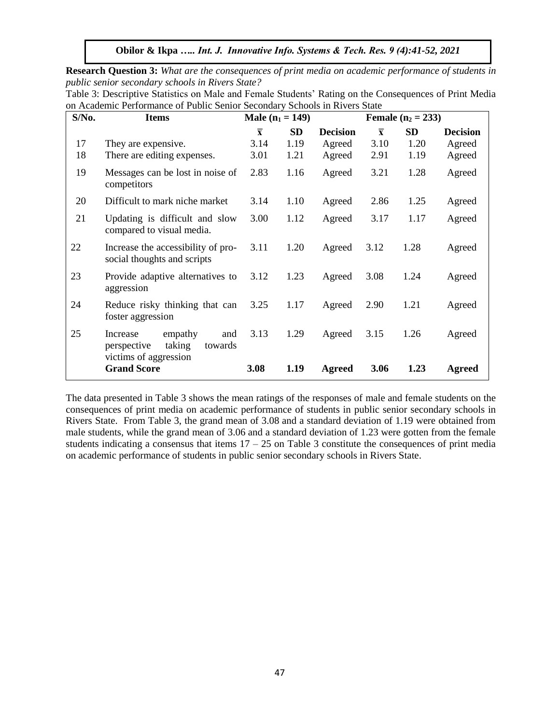**Research Question 3:** *What are the consequences of print media on academic performance of students in public senior secondary schools in Rivers State?* 

Table 3: Descriptive Statistics on Male and Female Students' Rating on the Consequences of Print Media on Academic Performance of Public Senior Secondary Schools in Rivers State

| S/No. | <b>Items</b>                                                                            | Male $(n_1 = 149)$      |      |                 |                         | <b>Female</b> $(n_2 = 233)$ |                 |
|-------|-----------------------------------------------------------------------------------------|-------------------------|------|-----------------|-------------------------|-----------------------------|-----------------|
|       |                                                                                         | $\overline{\mathbf{x}}$ | SD   | <b>Decision</b> | $\overline{\mathbf{x}}$ | SD                          | <b>Decision</b> |
| 17    | They are expensive.                                                                     | 3.14                    | 1.19 | Agreed          | 3.10                    | 1.20                        | Agreed          |
| 18    | There are editing expenses.                                                             | 3.01                    | 1.21 | Agreed          | 2.91                    | 1.19                        | Agreed          |
| 19    | Messages can be lost in noise of<br>competitors                                         | 2.83                    | 1.16 | Agreed          | 3.21                    | 1.28                        | Agreed          |
| 20    | Difficult to mark niche market                                                          | 3.14                    | 1.10 | Agreed          | 2.86                    | 1.25                        | Agreed          |
| 21    | Updating is difficult and slow<br>compared to visual media.                             | 3.00                    | 1.12 | Agreed          | 3.17                    | 1.17                        | Agreed          |
| 22    | Increase the accessibility of pro-<br>social thoughts and scripts                       | 3.11                    | 1.20 | Agreed          | 3.12                    | 1.28                        | Agreed          |
| 23    | Provide adaptive alternatives to<br>aggression                                          | 3.12                    | 1.23 | Agreed          | 3.08                    | 1.24                        | Agreed          |
| 24    | Reduce risky thinking that can<br>foster aggression                                     | 3.25                    | 1.17 | Agreed          | 2.90                    | 1.21                        | Agreed          |
| 25    | empathy<br>Increase<br>and<br>taking<br>perspective<br>towards<br>victims of aggression | 3.13                    | 1.29 | Agreed          | 3.15                    | 1.26                        | Agreed          |
|       | <b>Grand Score</b>                                                                      | 3.08                    | 1.19 | <b>Agreed</b>   | 3.06                    | 1.23                        | Agreed          |

The data presented in Table 3 shows the mean ratings of the responses of male and female students on the consequences of print media on academic performance of students in public senior secondary schools in Rivers State. From Table 3, the grand mean of 3.08 and a standard deviation of 1.19 were obtained from male students, while the grand mean of 3.06 and a standard deviation of 1.23 were gotten from the female students indicating a consensus that items  $17 - 25$  on Table 3 constitute the consequences of print media on academic performance of students in public senior secondary schools in Rivers State.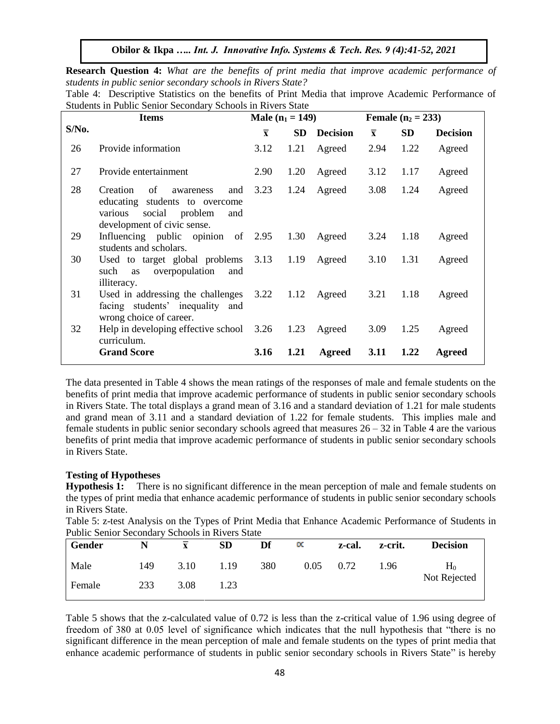**Research Question 4:** *What are the benefits of print media that improve academic performance of students in public senior secondary schools in Rivers State?* 

|                                                             |  |  |  |  | Table 4: Descriptive Statistics on the benefits of Print Media that improve Academic Performance of |  |
|-------------------------------------------------------------|--|--|--|--|-----------------------------------------------------------------------------------------------------|--|
| Students in Public Senior Secondary Schools in Rivers State |  |  |  |  |                                                                                                     |  |

|       | <b>Items</b>                                                                                                                            | <b>Male</b> $(n_1 = 149)$ |           |                  |                         | <b>Female</b> $(n_2 = 233)$ |                 |
|-------|-----------------------------------------------------------------------------------------------------------------------------------------|---------------------------|-----------|------------------|-------------------------|-----------------------------|-----------------|
| S/No. |                                                                                                                                         | $\overline{\mathbf{x}}$   | <b>SD</b> | <b>Decision</b>  | $\overline{\mathbf{x}}$ | <b>SD</b>                   | <b>Decision</b> |
| 26    | Provide information                                                                                                                     | 3.12                      | 1.21      | Agreed           | 2.94                    | 1.22                        | Agreed          |
| 27    | Provide entertainment                                                                                                                   | 2.90                      | 1.20      | Agreed           | 3.12                    | 1.17                        | Agreed          |
| 28    | Creation<br>of<br>and<br>awareness<br>educating students to overcome<br>social problem<br>various<br>and<br>development of civic sense. | 3.23                      | 1.24      | Agreed           | 3.08                    | 1.24                        | Agreed          |
| 29    | Influencing public opinion of 2.95<br>students and scholars.                                                                            |                           | 1.30      | Agreed           | 3.24                    | 1.18                        | Agreed          |
| 30    | Used to target global problems<br>such as overpopulation<br>and<br>illiteracy.                                                          | 3.13 1.19                 |           | Agreed           | 3.10                    | 1.31                        | Agreed          |
| 31    | Used in addressing the challenges<br>facing students' inequality and<br>wrong choice of career.                                         |                           |           | 3.22 1.12 Agreed | 3.21                    | 1.18                        | Agreed          |
| 32    | Help in developing effective school 3.26<br>curriculum.                                                                                 |                           | 1.23      | Agreed           | 3.09                    | 1.25                        | Agreed          |
|       | <b>Grand Score</b>                                                                                                                      | 3.16                      | 1.21      | Agreed           | 3.11                    | 1.22                        | Agreed          |

The data presented in Table 4 shows the mean ratings of the responses of male and female students on the benefits of print media that improve academic performance of students in public senior secondary schools in Rivers State. The total displays a grand mean of 3.16 and a standard deviation of 1.21 for male students and grand mean of 3.11 and a standard deviation of 1.22 for female students. This implies male and female students in public senior secondary schools agreed that measures  $26 - 32$  in Table 4 are the various benefits of print media that improve academic performance of students in public senior secondary schools in Rivers State.

#### **Testing of Hypotheses**

**Hypothesis 1:** There is no significant difference in the mean perception of male and female students on the types of print media that enhance academic performance of students in public senior secondary schools in Rivers State.

Table 5: z-test Analysis on the Types of Print Media that Enhance Academic Performance of Students in Public Senior Secondary Schools in Rivers State

| <b>Gender</b> |     | $\overline{\mathbf{x}}$ | <b>SD</b> | Df  | $\propto$ | z-cal. | z-crit. | <b>Decision</b> |
|---------------|-----|-------------------------|-----------|-----|-----------|--------|---------|-----------------|
| Male          | 149 | 3.10                    | 1.19      | 380 | 0.05      | 0.72   | 1.96    | H٥              |
| Female        | 233 | 3.08                    | 1.23      |     |           |        |         | Not Rejected    |

Table 5 shows that the z-calculated value of 0.72 is less than the z-critical value of 1.96 using degree of freedom of 380 at 0.05 level of significance which indicates that the null hypothesis that "there is no significant difference in the mean perception of male and female students on the types of print media that enhance academic performance of students in public senior secondary schools in Rivers State" is hereby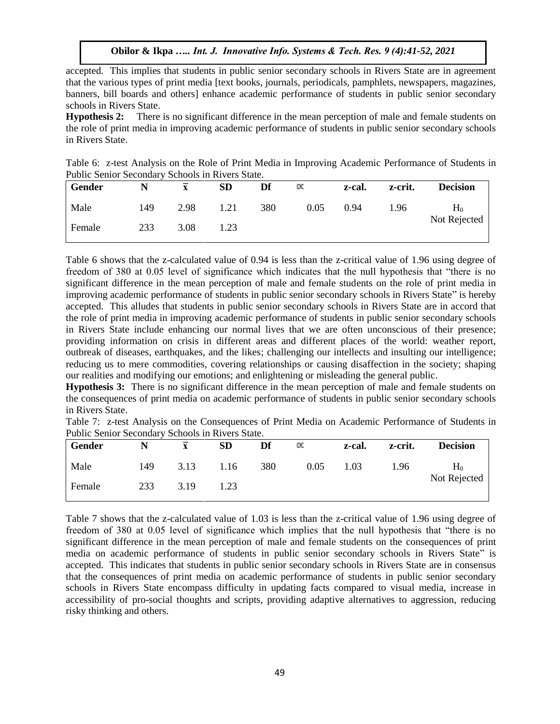accepted. This implies that students in public senior secondary schools in Rivers State are in agreement that the various types of print media [text books, journals, periodicals, pamphlets, newspapers, magazines, banners, bill boards and others] enhance academic performance of students in public senior secondary schools in Rivers State.

**Hypothesis 2:** There is no significant difference in the mean perception of male and female students on the role of print media in improving academic performance of students in public senior secondary schools in Rivers State.

| Table 6: z-test Analysis on the Role of Print Media in Improving Academic Performance of Students in |  |  |  |  |
|------------------------------------------------------------------------------------------------------|--|--|--|--|
| Public Senior Secondary Schools in Rivers State.                                                     |  |  |  |  |

| Gender |     |      | SD   | Df  | $\propto$ | z-cal. | z-crit. | <b>Decision</b> |
|--------|-----|------|------|-----|-----------|--------|---------|-----------------|
| Male   | 149 | 2.98 | 1.21 | 380 | 0.05      | 0.94   | 1.96    | $H_0$           |
| Female | 233 | 3.08 | 1.23 |     |           |        |         | Not Rejected    |

Table 6 shows that the z-calculated value of 0.94 is less than the z-critical value of 1.96 using degree of freedom of 380 at 0.05 level of significance which indicates that the null hypothesis that "there is no significant difference in the mean perception of male and female students on the role of print media in improving academic performance of students in public senior secondary schools in Rivers State" is hereby accepted. This alludes that students in public senior secondary schools in Rivers State are in accord that the role of print media in improving academic performance of students in public senior secondary schools in Rivers State include enhancing our normal lives that we are often unconscious of their presence; providing information on crisis in different areas and different places of the world: weather report, outbreak of diseases, earthquakes, and the likes; challenging our intellects and insulting our intelligence; reducing us to mere commodities, covering relationships or causing disaffection in the society; shaping our realities and modifying our emotions; and enlightening or misleading the general public.

**Hypothesis 3:** There is no significant difference in the mean perception of male and female students on the consequences of print media on academic performance of students in public senior secondary schools in Rivers State.

|  | Table 7: z-test Analysis on the Consequences of Print Media on Academic Performance of Students in |  |  |  |  |
|--|----------------------------------------------------------------------------------------------------|--|--|--|--|
|  | Public Senior Secondary Schools in Rivers State.                                                   |  |  |  |  |

| Gender |     |      | <b>SD</b> | Df  | $\propto$ | z-cal. | z-crit. | <b>Decision</b> |
|--------|-----|------|-----------|-----|-----------|--------|---------|-----------------|
| Male   | 149 | 3.13 | 1.16      | 380 | 0.05      | 0.03   | 1.96    | $H_0$           |
| Female | 233 | 3.19 | 1.23      |     |           |        |         | Not Rejected    |

Table 7 shows that the z-calculated value of 1.03 is less than the z-critical value of 1.96 using degree of freedom of 380 at 0.05 level of significance which implies that the null hypothesis that "there is no significant difference in the mean perception of male and female students on the consequences of print media on academic performance of students in public senior secondary schools in Rivers State" is accepted. This indicates that students in public senior secondary schools in Rivers State are in consensus that the consequences of print media on academic performance of students in public senior secondary schools in Rivers State encompass difficulty in updating facts compared to visual media, increase in accessibility of pro-social thoughts and scripts, providing adaptive alternatives to aggression, reducing risky thinking and others.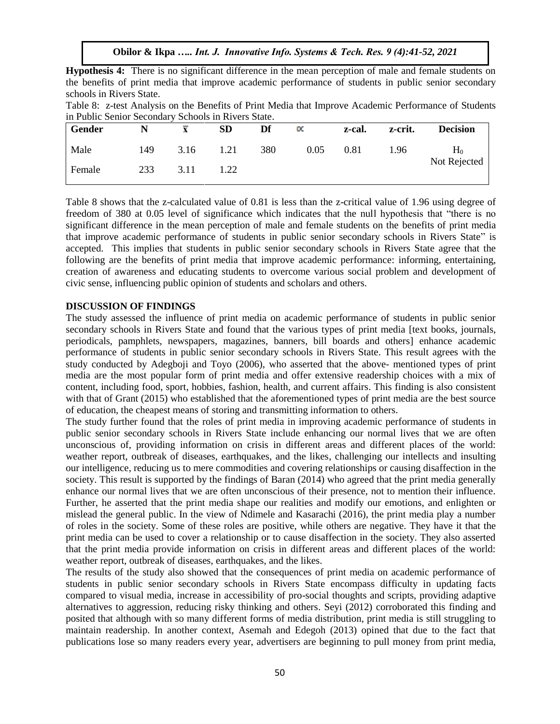| <b>Hypothesis 4:</b> There is no significant difference in the mean perception of male and female students on |  |  |  |  |  |
|---------------------------------------------------------------------------------------------------------------|--|--|--|--|--|
| the benefits of print media that improve academic performance of students in public senior secondary          |  |  |  |  |  |
| schools in Rivers State.                                                                                      |  |  |  |  |  |

|                                                     | Table 8: z-test Analysis on the Benefits of Print Media that Improve Academic Performance of Students |
|-----------------------------------------------------|-------------------------------------------------------------------------------------------------------|
| in Public Senior Secondary Schools in Rivers State. |                                                                                                       |

| Gender |     |      | SD   | Df  | $\propto$ | z-cal. | z-crit. | <b>Decision</b> |
|--------|-----|------|------|-----|-----------|--------|---------|-----------------|
| Male   | 149 | 3.16 | 1.21 | 380 | 0.05      | 0.81   | 1.96    | $H_0$           |
| Female | 233 | 3.11 | 1.22 |     |           |        |         | Not Rejected    |

Table 8 shows that the z-calculated value of 0.81 is less than the z-critical value of 1.96 using degree of freedom of 380 at 0.05 level of significance which indicates that the null hypothesis that "there is no significant difference in the mean perception of male and female students on the benefits of print media that improve academic performance of students in public senior secondary schools in Rivers State" is accepted. This implies that students in public senior secondary schools in Rivers State agree that the following are the benefits of print media that improve academic performance: informing, entertaining, creation of awareness and educating students to overcome various social problem and development of civic sense, influencing public opinion of students and scholars and others.

#### **DISCUSSION OF FINDINGS**

The study assessed the influence of print media on academic performance of students in public senior secondary schools in Rivers State and found that the various types of print media [text books, journals, periodicals, pamphlets, newspapers, magazines, banners, bill boards and others] enhance academic performance of students in public senior secondary schools in Rivers State. This result agrees with the study conducted by Adegboji and Toyo (2006), who asserted that the above- mentioned types of print media are the most popular form of print media and offer extensive readership choices with a mix of content, including food, sport, hobbies, fashion, health, and current affairs. This finding is also consistent with that of Grant (2015) who established that the aforementioned types of print media are the best source of education, the cheapest means of storing and transmitting information to others.

The study further found that the roles of print media in improving academic performance of students in public senior secondary schools in Rivers State include enhancing our normal lives that we are often unconscious of, providing information on crisis in different areas and different places of the world: weather report, outbreak of diseases, earthquakes, and the likes, challenging our intellects and insulting our intelligence, reducing us to mere commodities and covering relationships or causing disaffection in the society. This result is supported by the findings of Baran (2014) who agreed that the print media generally enhance our normal lives that we are often unconscious of their presence, not to mention their influence. Further, he asserted that the print media shape our realities and modify our emotions, and enlighten or mislead the general public. In the view of Ndimele and Kasarachi (2016), the print media play a number of roles in the society. Some of these roles are positive, while others are negative. They have it that the print media can be used to cover a relationship or to cause disaffection in the society. They also asserted that the print media provide information on crisis in different areas and different places of the world: weather report, outbreak of diseases, earthquakes, and the likes.

The results of the study also showed that the consequences of print media on academic performance of students in public senior secondary schools in Rivers State encompass difficulty in updating facts compared to visual media, increase in accessibility of pro-social thoughts and scripts, providing adaptive alternatives to aggression, reducing risky thinking and others. Seyi (2012) corroborated this finding and posited that although with so many different forms of media distribution, print media is still struggling to maintain readership. In another context, Asemah and Edegoh (2013) opined that due to the fact that publications lose so many readers every year, advertisers are beginning to pull money from print media,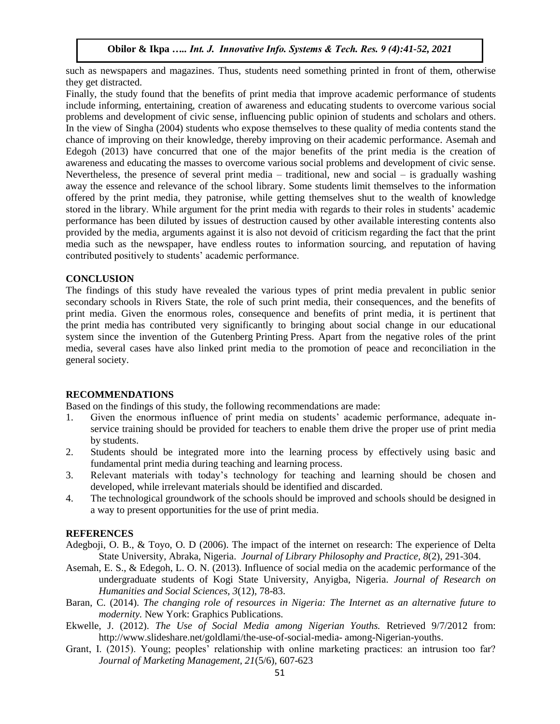such as newspapers and magazines. Thus, students need something printed in front of them, otherwise they get distracted.

Finally, the study found that the benefits of print media that improve academic performance of students include informing, entertaining, creation of awareness and educating students to overcome various social problems and development of civic sense, influencing public opinion of students and scholars and others. In the view of Singha (2004) students who expose themselves to these quality of media contents stand the chance of improving on their knowledge, thereby improving on their academic performance. Asemah and Edegoh (2013) have concurred that one of the major benefits of the print media is the creation of awareness and educating the masses to overcome various social problems and development of civic sense. Nevertheless, the presence of several print media – traditional, new and social – is gradually washing away the essence and relevance of the school library. Some students limit themselves to the information offered by the print media, they patronise, while getting themselves shut to the wealth of knowledge stored in the library. While argument for the print media with regards to their roles in students' academic performance has been diluted by issues of destruction caused by other available interesting contents also provided by the media, arguments against it is also not devoid of criticism regarding the fact that the print media such as the newspaper, have endless routes to information sourcing, and reputation of having contributed positively to students' academic performance.

#### **CONCLUSION**

The findings of this study have revealed the various types of print media prevalent in public senior secondary schools in Rivers State, the role of such print media, their consequences, and the benefits of print media. Given the enormous roles, consequence and benefits of print media, it is pertinent that the print media has contributed very significantly to bringing about social change in our educational system since the invention of the Gutenberg Printing Press. Apart from the negative roles of the print media, several cases have also linked print media to the promotion of peace and reconciliation in the general society.

# **RECOMMENDATIONS**

Based on the findings of this study, the following recommendations are made:

- 1. Given the enormous influence of print media on students' academic performance, adequate inservice training should be provided for teachers to enable them drive the proper use of print media by students.
- 2. Students should be integrated more into the learning process by effectively using basic and fundamental print media during teaching and learning process.
- 3. Relevant materials with today's technology for teaching and learning should be chosen and developed, while irrelevant materials should be identified and discarded.
- 4. The technological groundwork of the schools should be improved and schools should be designed in a way to present opportunities for the use of print media.

#### **REFERENCES**

- Adegboji, O. B., & Toyo, O. D (2006). The impact of the internet on research: The experience of Delta State University, Abraka, Nigeria. *Journal of Library Philosophy and Practice, 8*(2), 291-304.
- Asemah, E. S., & Edegoh, L. O. N. (2013). Influence of social media on the academic performance of the undergraduate students of Kogi State University, Anyigba, Nigeria. *Journal of Research on Humanities and Social Sciences, 3*(12), 78-83.
- Baran, C. (2014). *The changing role of resources in Nigeria: The Internet as an alternative future to modernity.* New York: Graphics Publications.
- Ekwelle, J. (2012). *The Use of Social Media among Nigerian Youths.* Retrieved 9/7/2012 from: http://www.slideshare.net/goldlami/the-use-of-social-media- among-Nigerian-youths.
- Grant, I. (2015). Young; peoples' relationship with online marketing practices: an intrusion too far? *Journal of Marketing Management, 21*(5/6), 607-623